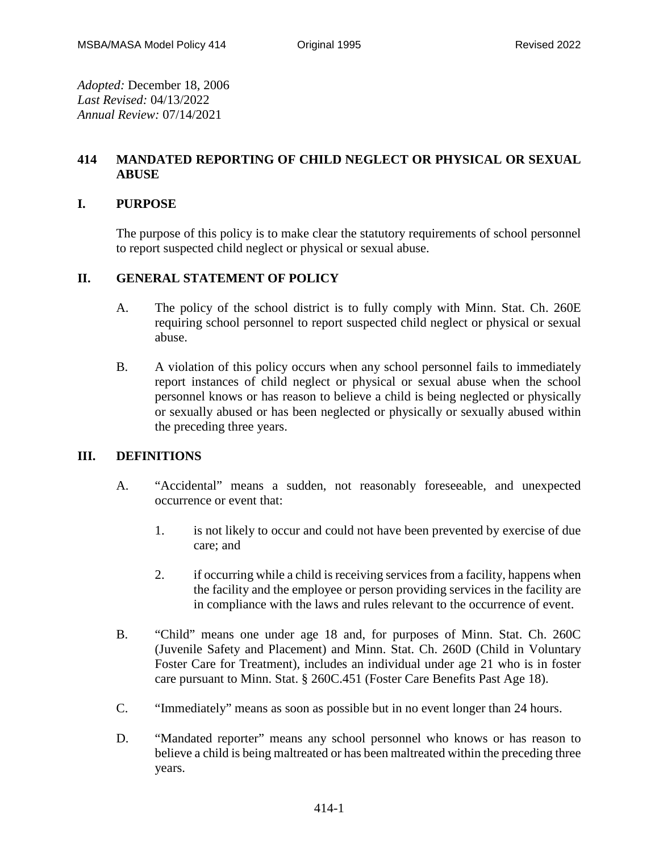*Adopted:* December 18, 2006 *Last Revised:* 04/13/2022 *Annual Review:* 07/14/2021

# **414 MANDATED REPORTING OF CHILD NEGLECT OR PHYSICAL OR SEXUAL ABUSE**

## **I. PURPOSE**

The purpose of this policy is to make clear the statutory requirements of school personnel to report suspected child neglect or physical or sexual abuse.

# **II. GENERAL STATEMENT OF POLICY**

- A. The policy of the school district is to fully comply with Minn. Stat. Ch. 260E requiring school personnel to report suspected child neglect or physical or sexual abuse.
- B. A violation of this policy occurs when any school personnel fails to immediately report instances of child neglect or physical or sexual abuse when the school personnel knows or has reason to believe a child is being neglected or physically or sexually abused or has been neglected or physically or sexually abused within the preceding three years.

#### **III. DEFINITIONS**

- A. "Accidental" means a sudden, not reasonably foreseeable, and unexpected occurrence or event that:
	- 1. is not likely to occur and could not have been prevented by exercise of due care; and
	- 2. if occurring while a child is receiving services from a facility, happens when the facility and the employee or person providing services in the facility are in compliance with the laws and rules relevant to the occurrence of event.
- B. "Child" means one under age 18 and, for purposes of Minn. Stat. Ch. 260C (Juvenile Safety and Placement) and Minn. Stat. Ch. 260D (Child in Voluntary Foster Care for Treatment), includes an individual under age 21 who is in foster care pursuant to Minn. Stat. § 260C.451 (Foster Care Benefits Past Age 18).
- C. "Immediately" means as soon as possible but in no event longer than 24 hours.
- D. "Mandated reporter" means any school personnel who knows or has reason to believe a child is being maltreated or has been maltreated within the preceding three years.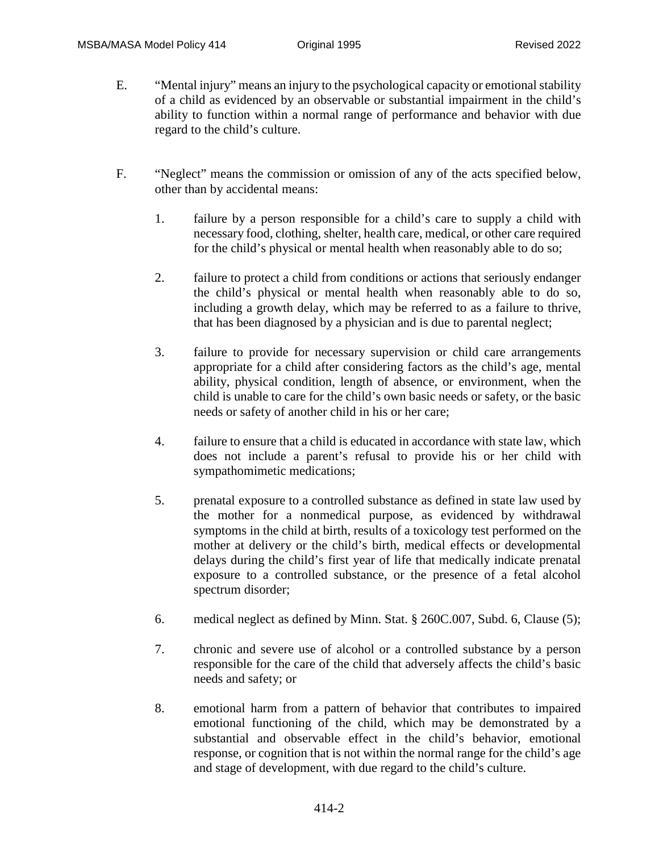- E. "Mental injury" means an injury to the psychological capacity or emotional stability of a child as evidenced by an observable or substantial impairment in the child's ability to function within a normal range of performance and behavior with due regard to the child's culture.
- F. "Neglect" means the commission or omission of any of the acts specified below, other than by accidental means:
	- 1. failure by a person responsible for a child's care to supply a child with necessary food, clothing, shelter, health care, medical, or other care required for the child's physical or mental health when reasonably able to do so;
	- 2. failure to protect a child from conditions or actions that seriously endanger the child's physical or mental health when reasonably able to do so, including a growth delay, which may be referred to as a failure to thrive, that has been diagnosed by a physician and is due to parental neglect;
	- 3. failure to provide for necessary supervision or child care arrangements appropriate for a child after considering factors as the child's age, mental ability, physical condition, length of absence, or environment, when the child is unable to care for the child's own basic needs or safety, or the basic needs or safety of another child in his or her care;
	- 4. failure to ensure that a child is educated in accordance with state law, which does not include a parent's refusal to provide his or her child with sympathomimetic medications;
	- 5. prenatal exposure to a controlled substance as defined in state law used by the mother for a nonmedical purpose, as evidenced by withdrawal symptoms in the child at birth, results of a toxicology test performed on the mother at delivery or the child's birth, medical effects or developmental delays during the child's first year of life that medically indicate prenatal exposure to a controlled substance, or the presence of a fetal alcohol spectrum disorder;
	- 6. medical neglect as defined by Minn. Stat. § 260C.007, Subd. 6, Clause (5);
	- 7. chronic and severe use of alcohol or a controlled substance by a person responsible for the care of the child that adversely affects the child's basic needs and safety; or
	- 8. emotional harm from a pattern of behavior that contributes to impaired emotional functioning of the child, which may be demonstrated by a substantial and observable effect in the child's behavior, emotional response, or cognition that is not within the normal range for the child's age and stage of development, with due regard to the child's culture.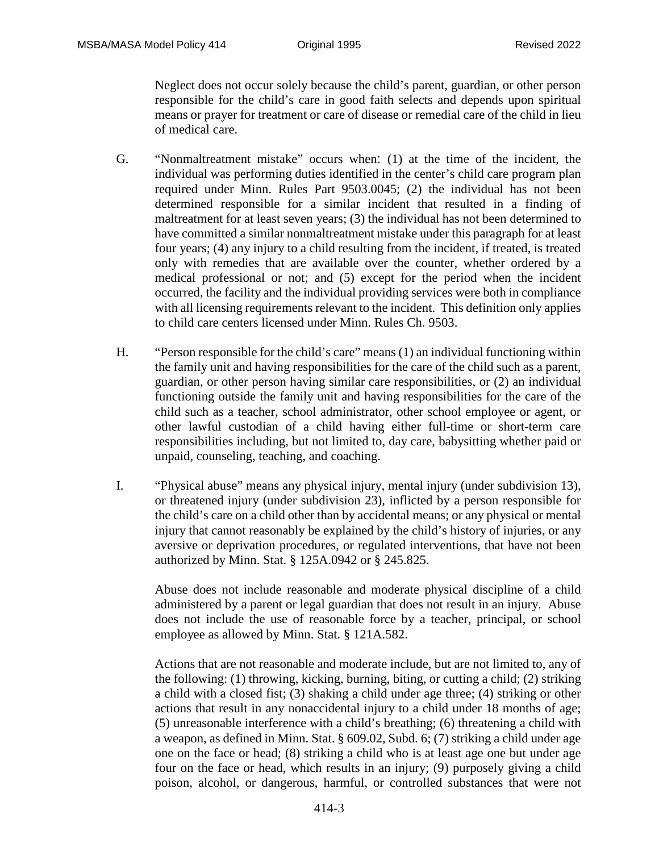Neglect does not occur solely because the child's parent, guardian, or other person responsible for the child's care in good faith selects and depends upon spiritual means or prayer for treatment or care of disease or remedial care of the child in lieu of medical care.

- G. "Nonmaltreatment mistake" occurs when: (1) at the time of the incident, the individual was performing duties identified in the center's child care program plan required under Minn. Rules Part 9503.0045; (2) the individual has not been determined responsible for a similar incident that resulted in a finding of maltreatment for at least seven years; (3) the individual has not been determined to have committed a similar nonmaltreatment mistake under this paragraph for at least four years; (4) any injury to a child resulting from the incident, if treated, is treated only with remedies that are available over the counter, whether ordered by a medical professional or not; and (5) except for the period when the incident occurred, the facility and the individual providing services were both in compliance with all licensing requirements relevant to the incident. This definition only applies to child care centers licensed under Minn. Rules Ch. 9503.
- H. "Person responsible for the child's care" means (1) an individual functioning within the family unit and having responsibilities for the care of the child such as a parent, guardian, or other person having similar care responsibilities, or (2) an individual functioning outside the family unit and having responsibilities for the care of the child such as a teacher, school administrator, other school employee or agent, or other lawful custodian of a child having either full-time or short-term care responsibilities including, but not limited to, day care, babysitting whether paid or unpaid, counseling, teaching, and coaching.
- I. "Physical abuse" means any physical injury, mental injury (under subdivision 13), or threatened injury (under subdivision 23), inflicted by a person responsible for the child's care on a child other than by accidental means; or any physical or mental injury that cannot reasonably be explained by the child's history of injuries, or any aversive or deprivation procedures, or regulated interventions, that have not been authorized by Minn. Stat. § 125A.0942 or § 245.825.

Abuse does not include reasonable and moderate physical discipline of a child administered by a parent or legal guardian that does not result in an injury. Abuse does not include the use of reasonable force by a teacher, principal, or school employee as allowed by Minn. Stat. § 121A.582.

Actions that are not reasonable and moderate include, but are not limited to, any of the following: (1) throwing, kicking, burning, biting, or cutting a child; (2) striking a child with a closed fist; (3) shaking a child under age three; (4) striking or other actions that result in any nonaccidental injury to a child under 18 months of age; (5) unreasonable interference with a child's breathing; (6) threatening a child with a weapon, as defined in Minn. Stat. § 609.02, Subd. 6; (7) striking a child under age one on the face or head; (8) striking a child who is at least age one but under age four on the face or head, which results in an injury; (9) purposely giving a child poison, alcohol, or dangerous, harmful, or controlled substances that were not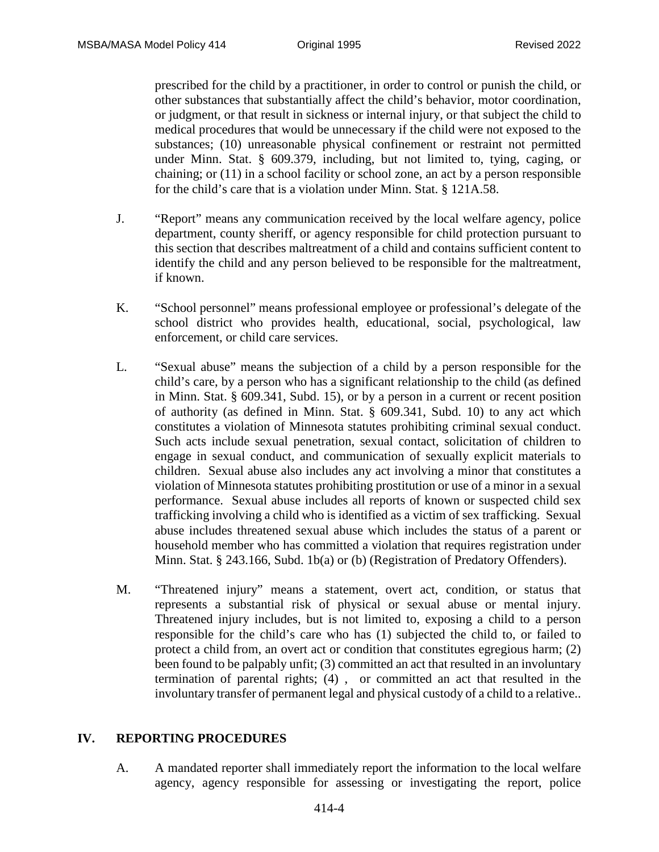prescribed for the child by a practitioner, in order to control or punish the child, or other substances that substantially affect the child's behavior, motor coordination, or judgment, or that result in sickness or internal injury, or that subject the child to medical procedures that would be unnecessary if the child were not exposed to the substances; (10) unreasonable physical confinement or restraint not permitted under Minn. Stat. § 609.379, including, but not limited to, tying, caging, or chaining; or (11) in a school facility or school zone, an act by a person responsible for the child's care that is a violation under Minn. Stat. § 121A.58.

- J. "Report" means any communication received by the local welfare agency, police department, county sheriff, or agency responsible for child protection pursuant to this section that describes maltreatment of a child and contains sufficient content to identify the child and any person believed to be responsible for the maltreatment, if known.
- K. "School personnel" means professional employee or professional's delegate of the school district who provides health, educational, social, psychological, law enforcement, or child care services.
- L. "Sexual abuse" means the subjection of a child by a person responsible for the child's care, by a person who has a significant relationship to the child (as defined in Minn. Stat. § 609.341, Subd. 15), or by a person in a current or recent position of authority (as defined in Minn. Stat. § 609.341, Subd. 10) to any act which constitutes a violation of Minnesota statutes prohibiting criminal sexual conduct. Such acts include sexual penetration, sexual contact, solicitation of children to engage in sexual conduct, and communication of sexually explicit materials to children. Sexual abuse also includes any act involving a minor that constitutes a violation of Minnesota statutes prohibiting prostitution or use of a minor in a sexual performance. Sexual abuse includes all reports of known or suspected child sex trafficking involving a child who is identified as a victim of sex trafficking. Sexual abuse includes threatened sexual abuse which includes the status of a parent or household member who has committed a violation that requires registration under Minn. Stat. § 243.166, Subd. 1b(a) or (b) (Registration of Predatory Offenders).
- M. "Threatened injury" means a statement, overt act, condition, or status that represents a substantial risk of physical or sexual abuse or mental injury. Threatened injury includes, but is not limited to, exposing a child to a person responsible for the child's care who has (1) subjected the child to, or failed to protect a child from, an overt act or condition that constitutes egregious harm; (2) been found to be palpably unfit; (3) committed an act that resulted in an involuntary termination of parental rights; (4) , or committed an act that resulted in the involuntary transfer of permanent legal and physical custody of a child to a relative..

#### **IV. REPORTING PROCEDURES**

A. A mandated reporter shall immediately report the information to the local welfare agency, agency responsible for assessing or investigating the report, police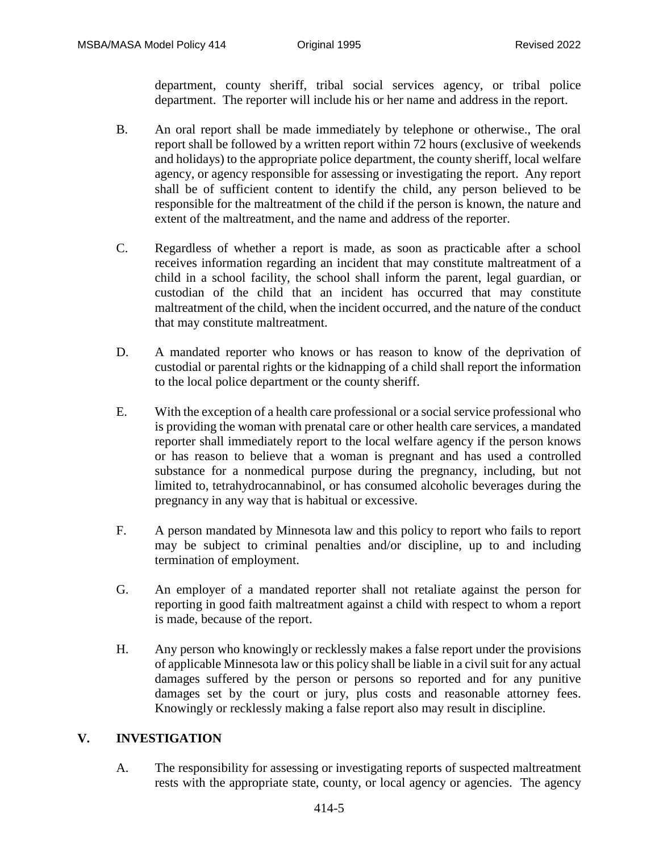department, county sheriff, tribal social services agency, or tribal police department. The reporter will include his or her name and address in the report.

- B. An oral report shall be made immediately by telephone or otherwise., The oral report shall be followed by a written report within 72 hours (exclusive of weekends and holidays) to the appropriate police department, the county sheriff, local welfare agency, or agency responsible for assessing or investigating the report. Any report shall be of sufficient content to identify the child, any person believed to be responsible for the maltreatment of the child if the person is known, the nature and extent of the maltreatment, and the name and address of the reporter.
- C. Regardless of whether a report is made, as soon as practicable after a school receives information regarding an incident that may constitute maltreatment of a child in a school facility, the school shall inform the parent, legal guardian, or custodian of the child that an incident has occurred that may constitute maltreatment of the child, when the incident occurred, and the nature of the conduct that may constitute maltreatment.
- D. A mandated reporter who knows or has reason to know of the deprivation of custodial or parental rights or the kidnapping of a child shall report the information to the local police department or the county sheriff.
- E. With the exception of a health care professional or a social service professional who is providing the woman with prenatal care or other health care services, a mandated reporter shall immediately report to the local welfare agency if the person knows or has reason to believe that a woman is pregnant and has used a controlled substance for a nonmedical purpose during the pregnancy, including, but not limited to, tetrahydrocannabinol, or has consumed alcoholic beverages during the pregnancy in any way that is habitual or excessive.
- F. A person mandated by Minnesota law and this policy to report who fails to report may be subject to criminal penalties and/or discipline, up to and including termination of employment.
- G. An employer of a mandated reporter shall not retaliate against the person for reporting in good faith maltreatment against a child with respect to whom a report is made, because of the report.
- H. Any person who knowingly or recklessly makes a false report under the provisions of applicable Minnesota law or this policy shall be liable in a civil suit for any actual damages suffered by the person or persons so reported and for any punitive damages set by the court or jury, plus costs and reasonable attorney fees. Knowingly or recklessly making a false report also may result in discipline.

### **V. INVESTIGATION**

A. The responsibility for assessing or investigating reports of suspected maltreatment rests with the appropriate state, county, or local agency or agencies. The agency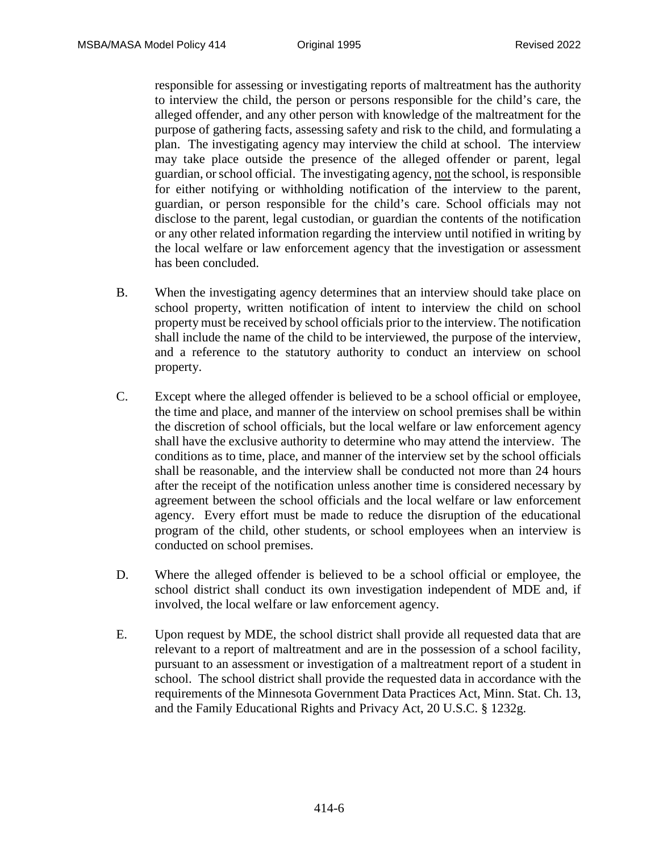responsible for assessing or investigating reports of maltreatment has the authority to interview the child, the person or persons responsible for the child's care, the alleged offender, and any other person with knowledge of the maltreatment for the purpose of gathering facts, assessing safety and risk to the child, and formulating a plan. The investigating agency may interview the child at school. The interview may take place outside the presence of the alleged offender or parent, legal guardian, or school official. The investigating agency, not the school, is responsible for either notifying or withholding notification of the interview to the parent, guardian, or person responsible for the child's care. School officials may not disclose to the parent, legal custodian, or guardian the contents of the notification or any other related information regarding the interview until notified in writing by the local welfare or law enforcement agency that the investigation or assessment has been concluded.

- B. When the investigating agency determines that an interview should take place on school property, written notification of intent to interview the child on school property must be received by school officials prior to the interview. The notification shall include the name of the child to be interviewed, the purpose of the interview, and a reference to the statutory authority to conduct an interview on school property.
- C. Except where the alleged offender is believed to be a school official or employee, the time and place, and manner of the interview on school premises shall be within the discretion of school officials, but the local welfare or law enforcement agency shall have the exclusive authority to determine who may attend the interview. The conditions as to time, place, and manner of the interview set by the school officials shall be reasonable, and the interview shall be conducted not more than 24 hours after the receipt of the notification unless another time is considered necessary by agreement between the school officials and the local welfare or law enforcement agency. Every effort must be made to reduce the disruption of the educational program of the child, other students, or school employees when an interview is conducted on school premises.
- D. Where the alleged offender is believed to be a school official or employee, the school district shall conduct its own investigation independent of MDE and, if involved, the local welfare or law enforcement agency.
- E. Upon request by MDE, the school district shall provide all requested data that are relevant to a report of maltreatment and are in the possession of a school facility, pursuant to an assessment or investigation of a maltreatment report of a student in school. The school district shall provide the requested data in accordance with the requirements of the Minnesota Government Data Practices Act, Minn. Stat. Ch. 13, and the Family Educational Rights and Privacy Act, 20 U.S.C. § 1232g.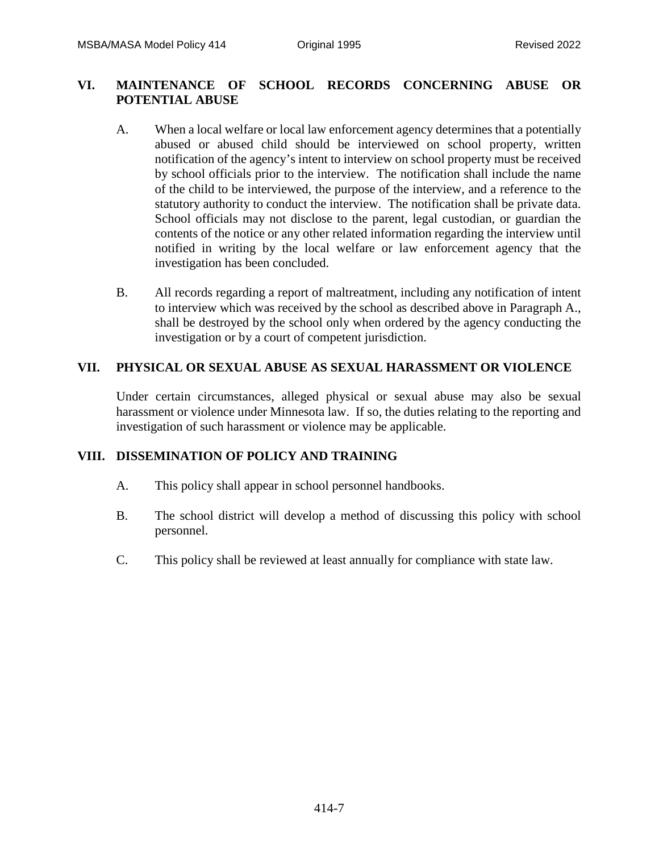## **VI. MAINTENANCE OF SCHOOL RECORDS CONCERNING ABUSE OR POTENTIAL ABUSE**

- A. When a local welfare or local law enforcement agency determines that a potentially abused or abused child should be interviewed on school property, written notification of the agency's intent to interview on school property must be received by school officials prior to the interview. The notification shall include the name of the child to be interviewed, the purpose of the interview, and a reference to the statutory authority to conduct the interview. The notification shall be private data. School officials may not disclose to the parent, legal custodian, or guardian the contents of the notice or any other related information regarding the interview until notified in writing by the local welfare or law enforcement agency that the investigation has been concluded.
- B. All records regarding a report of maltreatment, including any notification of intent to interview which was received by the school as described above in Paragraph A., shall be destroyed by the school only when ordered by the agency conducting the investigation or by a court of competent jurisdiction.

## **VII. PHYSICAL OR SEXUAL ABUSE AS SEXUAL HARASSMENT OR VIOLENCE**

Under certain circumstances, alleged physical or sexual abuse may also be sexual harassment or violence under Minnesota law. If so, the duties relating to the reporting and investigation of such harassment or violence may be applicable.

# **VIII. DISSEMINATION OF POLICY AND TRAINING**

- A. This policy shall appear in school personnel handbooks.
- B. The school district will develop a method of discussing this policy with school personnel.
- C. This policy shall be reviewed at least annually for compliance with state law.